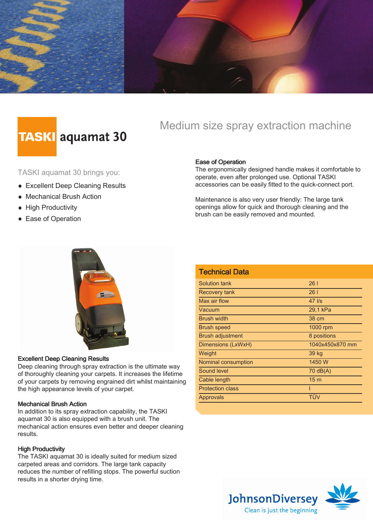

# **TASKI** aquamat 30

### Medium size spray extraction machine

TASKI aquamat 30 brings you:

- **Excellent Deep Cleaning Results**
- Mechanical Brush Action
- High Productivity
- **Ease of Operation**

#### Ease of Operation

The ergonomically designed handle makes it comfortable to operate, even after prolonged use. Optional TASKI accessories can be easily fitted to the quick-connect port.

Maintenance is also very user friendly: The large tank openings allow for quick and thorough cleaning and the brush can be easily removed and mounted.



#### Excellent Deep Cleaning Results

Deep cleaning through spray extraction is the ultimate way of thoroughly cleaning your carpets. It increases the lifetime of your carpets by removing engrained dirt whilst maintaining the high appearance levels of your carpet.

#### Mechanical Brush Action

In addition to its spray extraction capability, the TASKI aquamat 30 is also equipped with a brush unit. The mechanical action ensures even better and deeper cleaning results.

#### High Productivity

The TASKI aquamat 30 is ideally suited for medium sized carpeted areas and corridors. The large tank capacity reduces the number of refilling stops. The powerful suction results in a shorter drying time.

| <b>Technical Data</b>   |                 |
|-------------------------|-----------------|
| Solution tank           | 26 <sub>1</sub> |
| Recovery tank           | 261             |
| Max air flow            | $47$ I/s        |
| Vacuum                  | 29,1 kPa        |
| <b>Brush width</b>      | 38 cm           |
| <b>Brush speed</b>      | 1000 rpm        |
| <b>Brush adjustment</b> | 8 positions     |
| Dimensions (LxWxH)      | 1040x450x870 mm |
| Weight                  | 39 kg           |
| Nominal consumption     | 1450 W          |
| Sound level             | 70 dB(A)        |
| Cable length            | 15 <sub>m</sub> |
| <b>Protection class</b> |                 |
| Approvals               | TÜV             |
|                         |                 |